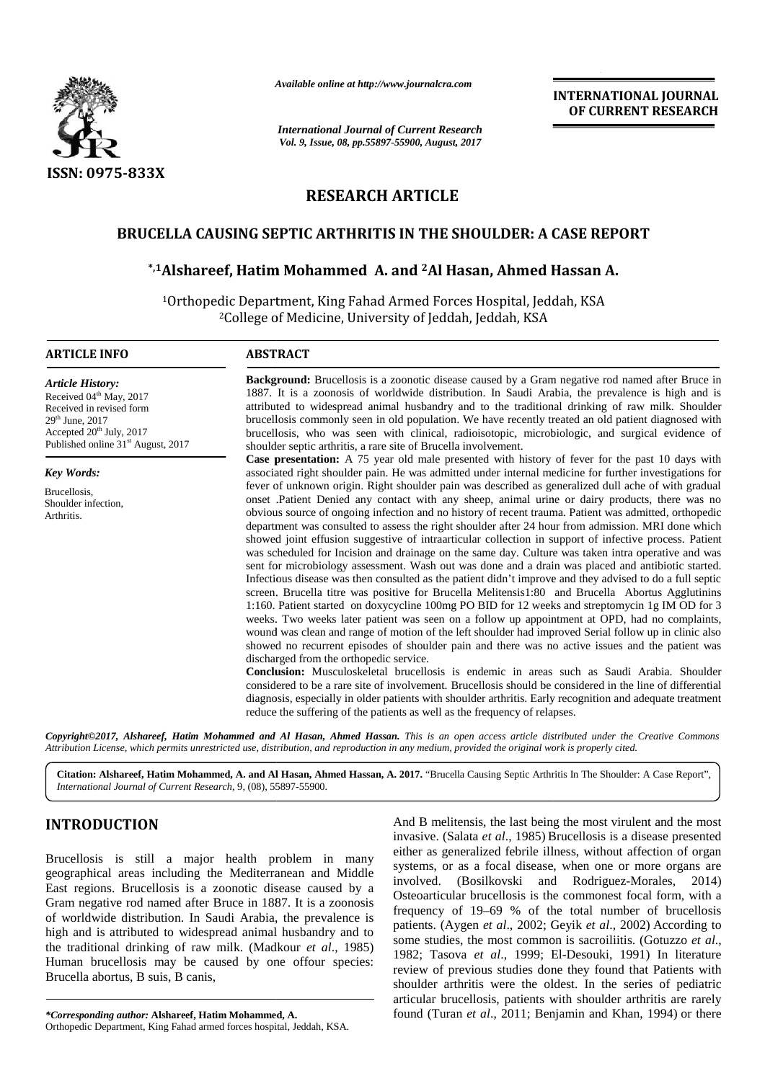

*Available online at http://www.journalcra.com*

**INTERNATIONAL JOURNAL OF CURRENT RESEARCH**

# **RESEARCH ARTICLE**

## **BRUCELLA CAUSING SEPTIC ARTHRITIS IN THE SHOULDER: A CASE REPORT IN**

## **\*,1Alshareef, Hatim Mohammed A. and <sup>2</sup>Al Hasan, Ahmed Hassan A. \*,1Hatim Mohammed Ahmed HassanA.**

|                                                                                                                                                                                                                                                                                                                                                                                                                                                                                            |                                                                                                                                                                                                                                                                                                                                                                                                                                                                                                                                                                                      | <b>INTERNATIONAL JOURNAL</b><br>OF CURRENT RESEARCH                                                                                                                                                                                                                                                                                                                                                                                                                                                                                                                                                                                                                                                                                                                                                                                                                                                                                                                                                                                                                                                                                                                                                                                                                                                                                                                                                                                                                                                                                                                                                                                                                                                                                                                                                                                                                                                                                                                                                                                                                                                                                                                                                                                                                                               |  |  |  |
|--------------------------------------------------------------------------------------------------------------------------------------------------------------------------------------------------------------------------------------------------------------------------------------------------------------------------------------------------------------------------------------------------------------------------------------------------------------------------------------------|--------------------------------------------------------------------------------------------------------------------------------------------------------------------------------------------------------------------------------------------------------------------------------------------------------------------------------------------------------------------------------------------------------------------------------------------------------------------------------------------------------------------------------------------------------------------------------------|---------------------------------------------------------------------------------------------------------------------------------------------------------------------------------------------------------------------------------------------------------------------------------------------------------------------------------------------------------------------------------------------------------------------------------------------------------------------------------------------------------------------------------------------------------------------------------------------------------------------------------------------------------------------------------------------------------------------------------------------------------------------------------------------------------------------------------------------------------------------------------------------------------------------------------------------------------------------------------------------------------------------------------------------------------------------------------------------------------------------------------------------------------------------------------------------------------------------------------------------------------------------------------------------------------------------------------------------------------------------------------------------------------------------------------------------------------------------------------------------------------------------------------------------------------------------------------------------------------------------------------------------------------------------------------------------------------------------------------------------------------------------------------------------------------------------------------------------------------------------------------------------------------------------------------------------------------------------------------------------------------------------------------------------------------------------------------------------------------------------------------------------------------------------------------------------------------------------------------------------------------------------------------------------------|--|--|--|
|                                                                                                                                                                                                                                                                                                                                                                                                                                                                                            | <b>International Journal of Current Research</b><br>Vol. 9, Issue, 08, pp.55897-55900, August, 2017                                                                                                                                                                                                                                                                                                                                                                                                                                                                                  |                                                                                                                                                                                                                                                                                                                                                                                                                                                                                                                                                                                                                                                                                                                                                                                                                                                                                                                                                                                                                                                                                                                                                                                                                                                                                                                                                                                                                                                                                                                                                                                                                                                                                                                                                                                                                                                                                                                                                                                                                                                                                                                                                                                                                                                                                                   |  |  |  |
| ISSN: 0975-833X                                                                                                                                                                                                                                                                                                                                                                                                                                                                            |                                                                                                                                                                                                                                                                                                                                                                                                                                                                                                                                                                                      |                                                                                                                                                                                                                                                                                                                                                                                                                                                                                                                                                                                                                                                                                                                                                                                                                                                                                                                                                                                                                                                                                                                                                                                                                                                                                                                                                                                                                                                                                                                                                                                                                                                                                                                                                                                                                                                                                                                                                                                                                                                                                                                                                                                                                                                                                                   |  |  |  |
|                                                                                                                                                                                                                                                                                                                                                                                                                                                                                            | <b>RESEARCH ARTICLE</b>                                                                                                                                                                                                                                                                                                                                                                                                                                                                                                                                                              |                                                                                                                                                                                                                                                                                                                                                                                                                                                                                                                                                                                                                                                                                                                                                                                                                                                                                                                                                                                                                                                                                                                                                                                                                                                                                                                                                                                                                                                                                                                                                                                                                                                                                                                                                                                                                                                                                                                                                                                                                                                                                                                                                                                                                                                                                                   |  |  |  |
|                                                                                                                                                                                                                                                                                                                                                                                                                                                                                            |                                                                                                                                                                                                                                                                                                                                                                                                                                                                                                                                                                                      | <b>BRUCELLA CAUSING SEPTIC ARTHRITIS IN THE SHOULDER: A CASE REPORT</b>                                                                                                                                                                                                                                                                                                                                                                                                                                                                                                                                                                                                                                                                                                                                                                                                                                                                                                                                                                                                                                                                                                                                                                                                                                                                                                                                                                                                                                                                                                                                                                                                                                                                                                                                                                                                                                                                                                                                                                                                                                                                                                                                                                                                                           |  |  |  |
|                                                                                                                                                                                                                                                                                                                                                                                                                                                                                            |                                                                                                                                                                                                                                                                                                                                                                                                                                                                                                                                                                                      | *,1Alshareef, Hatim Mohammed A. and <sup>2</sup> Al Hasan, Ahmed Hassan A.                                                                                                                                                                                                                                                                                                                                                                                                                                                                                                                                                                                                                                                                                                                                                                                                                                                                                                                                                                                                                                                                                                                                                                                                                                                                                                                                                                                                                                                                                                                                                                                                                                                                                                                                                                                                                                                                                                                                                                                                                                                                                                                                                                                                                        |  |  |  |
|                                                                                                                                                                                                                                                                                                                                                                                                                                                                                            |                                                                                                                                                                                                                                                                                                                                                                                                                                                                                                                                                                                      | <sup>1</sup> Orthopedic Department, King Fahad Armed Forces Hospital, Jeddah, KSA<br><sup>2</sup> College of Medicine, University of Jeddah, Jeddah, KSA                                                                                                                                                                                                                                                                                                                                                                                                                                                                                                                                                                                                                                                                                                                                                                                                                                                                                                                                                                                                                                                                                                                                                                                                                                                                                                                                                                                                                                                                                                                                                                                                                                                                                                                                                                                                                                                                                                                                                                                                                                                                                                                                          |  |  |  |
| <b>ARTICLE INFO</b>                                                                                                                                                                                                                                                                                                                                                                                                                                                                        | <b>ABSTRACT</b>                                                                                                                                                                                                                                                                                                                                                                                                                                                                                                                                                                      |                                                                                                                                                                                                                                                                                                                                                                                                                                                                                                                                                                                                                                                                                                                                                                                                                                                                                                                                                                                                                                                                                                                                                                                                                                                                                                                                                                                                                                                                                                                                                                                                                                                                                                                                                                                                                                                                                                                                                                                                                                                                                                                                                                                                                                                                                                   |  |  |  |
| <b>Article History:</b><br>Received 04 <sup>th</sup> May, 2017<br>Received in revised form<br>29 <sup>th</sup> June, 2017<br>Accepted 20 <sup>th</sup> July, 2017<br>Published online 31 <sup>st</sup> August, 2017                                                                                                                                                                                                                                                                        | Background: Brucellosis is a zoonotic disease caused by a Gram negative rod named after Bruce in<br>1887. It is a zoonosis of worldwide distribution. In Saudi Arabia, the prevalence is high and is<br>attributed to widespread animal husbandry and to the traditional drinking of raw milk. Shoulder<br>brucellosis commonly seen in old population. We have recently treated an old patient diagnosed with<br>brucellosis, who was seen with clinical, radioisotopic, microbiologic, and surgical evidence of<br>shoulder septic arthritis, a rare site of Brucella involvement. |                                                                                                                                                                                                                                                                                                                                                                                                                                                                                                                                                                                                                                                                                                                                                                                                                                                                                                                                                                                                                                                                                                                                                                                                                                                                                                                                                                                                                                                                                                                                                                                                                                                                                                                                                                                                                                                                                                                                                                                                                                                                                                                                                                                                                                                                                                   |  |  |  |
| <b>Key Words:</b><br>Brucellosis,<br>Shoulder infection,<br>Arthritis.                                                                                                                                                                                                                                                                                                                                                                                                                     | discharged from the orthopedic service.                                                                                                                                                                                                                                                                                                                                                                                                                                                                                                                                              | Case presentation: A 75 year old male presented with history of fever for the past 10 days with<br>associated right shoulder pain. He was admitted under internal medicine for further investigations for<br>fever of unknown origin. Right shoulder pain was described as generalized dull ache of with gradual<br>onset .Patient Denied any contact with any sheep, animal urine or dairy products, there was no<br>obvious source of ongoing infection and no history of recent trauma. Patient was admitted, orthopedic<br>department was consulted to assess the right shoulder after 24 hour from admission. MRI done which<br>showed joint effusion suggestive of intraarticular collection in support of infective process. Patient<br>was scheduled for Incision and drainage on the same day. Culture was taken intra operative and was<br>sent for microbiology assessment. Wash out was done and a drain was placed and antibiotic started.<br>Infectious disease was then consulted as the patient didn't improve and they advised to do a full septic<br>screen. Brucella titre was positive for Brucella Melitensis1:80 and Brucella Abortus Agglutinins<br>1:160. Patient started on doxycycline 100mg PO BID for 12 weeks and streptomycin 1g IM OD for 3<br>weeks. Two weeks later patient was seen on a follow up appointment at OPD, had no complaints,<br>wound was clean and range of motion of the left shoulder had improved Serial follow up in clinic also<br>showed no recurrent episodes of shoulder pain and there was no active issues and the patient was<br>Conclusion: Musculoskeletal brucellosis is endemic in areas such as Saudi Arabia. Shoulder<br>considered to be a rare site of involvement. Brucellosis should be considered in the line of differential<br>diagnosis, especially in older patients with shoulder arthritis. Early recognition and adequate treatment<br>reduce the suffering of the patients as well as the frequency of relapses.<br>Copyright©2017, Alshareef, Hatim Mohammed and Al Hasan, Ahmed Hassan. This is an open access article distributed under the Creative Commons<br>Attribution License, which permits unrestricted use, distribution, and reproduction in any medium, provided the original work is properly cited. |  |  |  |
| International Journal of Current Research, 9, (08), 55897-55900.                                                                                                                                                                                                                                                                                                                                                                                                                           |                                                                                                                                                                                                                                                                                                                                                                                                                                                                                                                                                                                      | Citation: Alshareef, Hatim Mohammed, A. and Al Hasan, Ahmed Hassan, A. 2017. "Brucella Causing Septic Arthritis In The Shoulder: A Case Report",                                                                                                                                                                                                                                                                                                                                                                                                                                                                                                                                                                                                                                                                                                                                                                                                                                                                                                                                                                                                                                                                                                                                                                                                                                                                                                                                                                                                                                                                                                                                                                                                                                                                                                                                                                                                                                                                                                                                                                                                                                                                                                                                                  |  |  |  |
| <b>INTRODUCTION</b><br>Brucellosis is still a major health problem in many                                                                                                                                                                                                                                                                                                                                                                                                                 |                                                                                                                                                                                                                                                                                                                                                                                                                                                                                                                                                                                      | And B melitensis, the last being the most virulent and the most<br>invasive. (Salata et al., 1985) Brucellosis is a disease presented<br>either as generalized febrile illness, without affection of organ<br>systems, or as a focal disease, when one or more organs are<br>involved. (Bosilkovski and Rodriguez-Morales, 2014)<br>Osteoarticular brucellosis is the commonest focal form, with a<br>frequency of 19–69 % of the total number of brucellosis<br>patients. (Aygen et al., 2002; Geyik et al., 2002) According to<br>some studies, the most common is sacroiliitis. (Gotuzzo et al.,<br>1982; Tasova et al., 1999; El-Desouki, 1991) In literature<br>review of previous studies done they found that Patients with<br>shoulder arthritis were the oldest. In the series of pediatric<br>articular brucellosis, patients with shoulder arthritis are rarely                                                                                                                                                                                                                                                                                                                                                                                                                                                                                                                                                                                                                                                                                                                                                                                                                                                                                                                                                                                                                                                                                                                                                                                                                                                                                                                                                                                                                        |  |  |  |
| geographical areas including the Mediterranean and Middle<br>East regions. Brucellosis is a zoonotic disease caused by a<br>Gram negative rod named after Bruce in 1887. It is a zoonosis<br>of worldwide distribution. In Saudi Arabia, the prevalence is<br>high and is attributed to widespread animal husbandry and to<br>the traditional drinking of raw milk. (Madkour et al., 1985)<br>Human brucellosis may be caused by one offour species:<br>Brucella abortus, B suis, B canis, |                                                                                                                                                                                                                                                                                                                                                                                                                                                                                                                                                                                      |                                                                                                                                                                                                                                                                                                                                                                                                                                                                                                                                                                                                                                                                                                                                                                                                                                                                                                                                                                                                                                                                                                                                                                                                                                                                                                                                                                                                                                                                                                                                                                                                                                                                                                                                                                                                                                                                                                                                                                                                                                                                                                                                                                                                                                                                                                   |  |  |  |
| *Corresponding author: Alshareef, Hatim Mohammed, A.<br>Orthopedic Department, King Fahad armed forces hospital, Jeddah, KSA.                                                                                                                                                                                                                                                                                                                                                              |                                                                                                                                                                                                                                                                                                                                                                                                                                                                                                                                                                                      | found (Turan et al., 2011; Benjamin and Khan, 1994) or there                                                                                                                                                                                                                                                                                                                                                                                                                                                                                                                                                                                                                                                                                                                                                                                                                                                                                                                                                                                                                                                                                                                                                                                                                                                                                                                                                                                                                                                                                                                                                                                                                                                                                                                                                                                                                                                                                                                                                                                                                                                                                                                                                                                                                                      |  |  |  |

# **INTRODUCTION INTRODUCTION**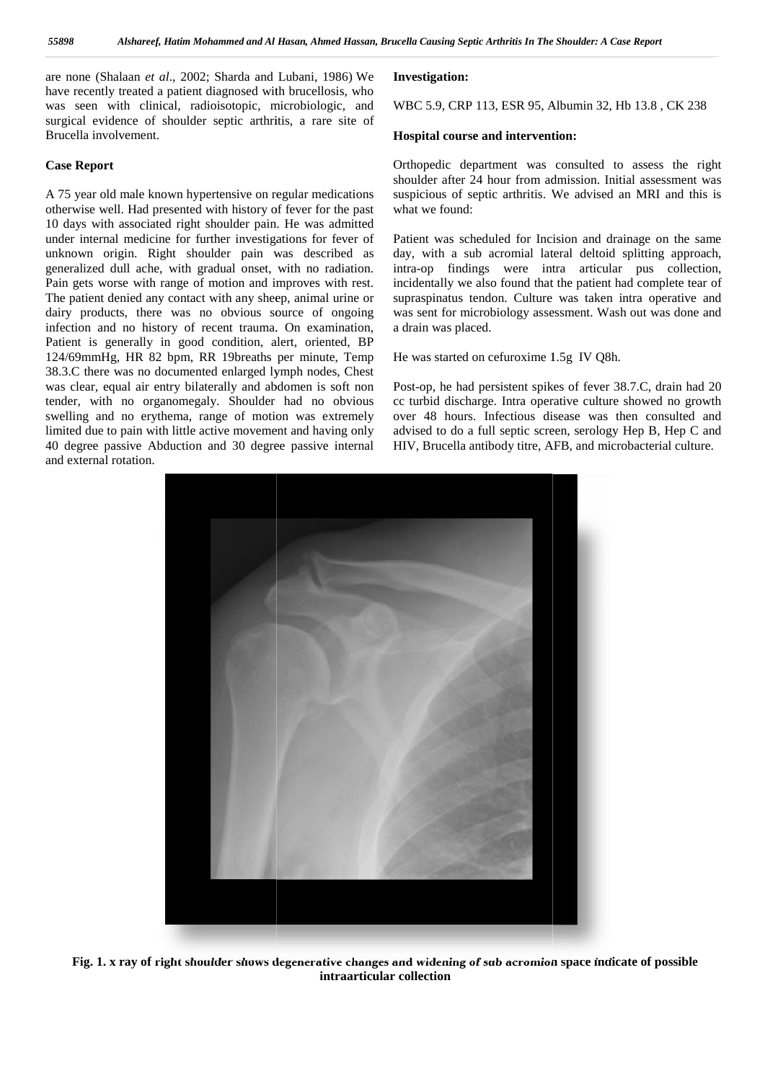are none (Shalaan *et al.*, 2002; Sharda and Lubani, 1986) We **Inve** have recently treated a patient diagnosed with brucellosis, who was seen with clinical, radioisotopic, microbiologic, and surgical evidence of shoulder septic arthritis, a rare site of Brucella involvement. have recently treated a patient diagnosed with brucellosis, was seen with clinical, radioisotopic, microbiologic, a surgical evidence of shoulder septic arthritis, a rare site Brucella involvement.

#### **Case Report Case Report**

A 75 year old male known hypertensive on regular medications otherwise well. Had presented with history of fever for the past A 75 year old male known hypertensive on regular medications suspident shows with History of fever for the past what 10 days with associated right shoulder pain. He was admitted under internal medicine for further investigations for fever of under internal medicine for further investigations for fever of Pat<br>unknown origin. Right shoulder pain was described as day generalized dull ache, with gradual onset, with no radiation. Pain gets worse with range of motion and improves with rest. The patient denied any contact with any sheep, animal urine or generalized dull ache, with gradual onset, with no radiation. intra-<br>Pain gets worse with range of motion and improves with rest. incide<br>The patient denied any contact with any sheep, animal urine or<br>dairy products, there infection and no history of recent trauma. On examination, Patient is generally in good condition, alert, oriented, BP infection and no history of recent trauma. On examination, a drain-<br>
Patient is generally in good condition, alert, oriented, BP<br>
124/69mmHg, HR 82 bpm, RR 19breaths per minute, Temp He w 38.3.C there was no documented enlarged lymph nodes, Chest 38.3.C there was no documented enlarged lymph nodes, Chest<br>was clear, equal air entry bilaterally and abdomen is soft non Posttender, with no organomegaly. Shoulder had no obvious swelling and no erythema, range of motion was extremely limited due to pain with little active movement and having only 40 degree passive Abduction and 30 degree passive internal and external rotation. **Example 11** External involvement.<br> **Ease Report**<br> **Case Report**<br> **Case Report**<br> **Case Report**<br> **Case Report**<br> **Case Report**<br> **Case Report**<br> **Case Report**<br> **Case Advised and result with history of fever for the past<br>
order** 

#### **Investigation:**

WBC 5.9, CRP 113, ESR 95, Albumin 32, Hb 13.8 , CK 238

#### **Hospital course and intervention:**

Orthopedic department was consulted to assess the right shoulder after 24 hour from admission. Initial assessment was suspicious of septic arthritis. We advised an MRI and this is what we found:

Patient was scheduled for Incision and drainage on the same day, with a sub acromial lateral deltoid splitting approach, intra-op findings were intra articular pus collection, incidentally we also found that the patient had complete tear of supraspinatus tendon. Culture was taken intra operative and was sent for microbiology assessment. Wash out was done and a drain was placed. ent was scheduled for Incision and drainage on the same<br>with a sub acromial lateral deltoid splitting approach,<br>-op findings were intra articular pus collection,<br>lentally we also found that the patient had complete tear of

He was started on cefuroxime 1.5g IV Q8h.

Post-op, he had persistent spikes of fever 38.7.C, drain had 20 cc turbid discharge. Intra operative culture showed no growth over 48 hours. Infectious disease was then consulted and advised to do a full septic screen, serology Hep B, Hep C and HIV, Brucella antibody titre, AFB, and microbacterial culture. st-op, he had persistent spikes of fever 38.7.C, drain had 20<br>turbid discharge. Intra operative culture showed no growth<br>er 48 hours. Infectious disease was then consulted and<br>vised to do a full septic screen, serology Hep



**Fig. 1. x ray of right shoulder shows degenerative changes and widening of sub acromion space indicate of possible intraarticular collection**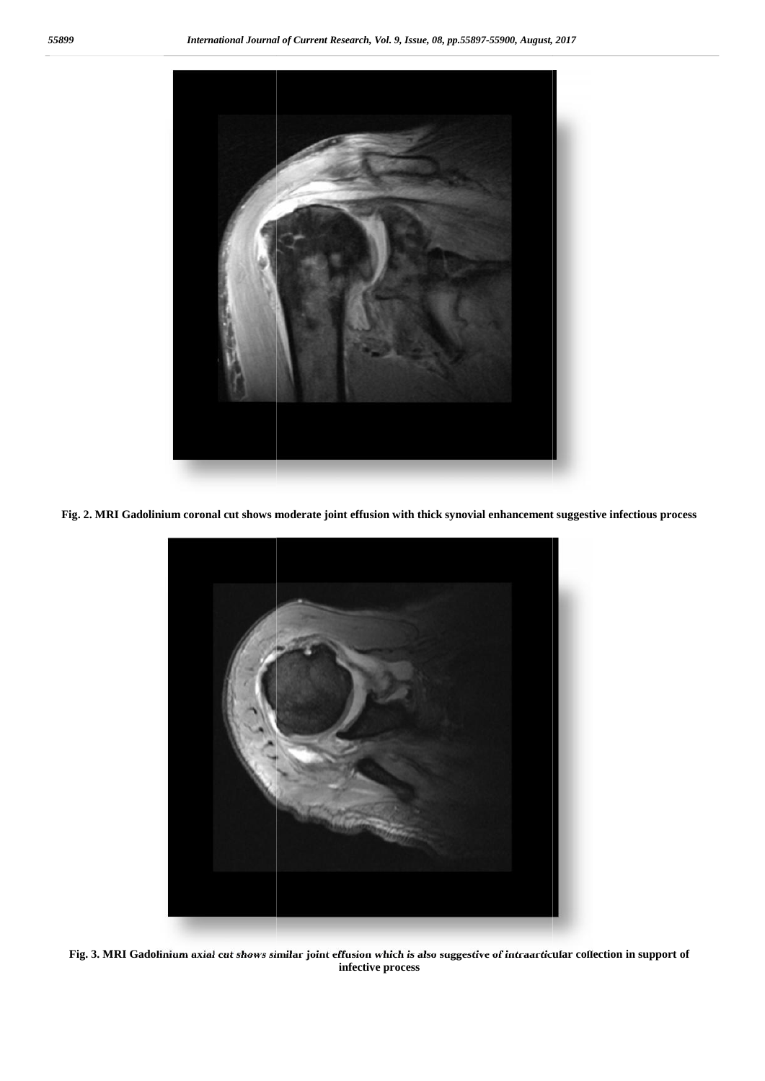

**Fig. 2. MRI Gadolinium coronal cut shows moderate joint effusion with thick synovial enhancement suggestive infectious process suggestive infectious** 



**Fig. 3. MRI Gadolinium axial cut shows similar joint effusion which is also suggestive of intraarticular collection in support of infective process**